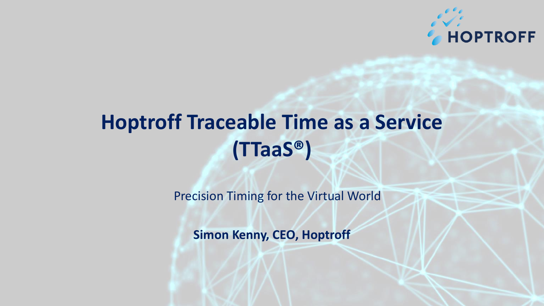

# **Hoptroff Traceable Time as a Service (TTaaS®)**

Precision Timing for the Virtual World

**Simon Kenny, CEO, Hoptroff**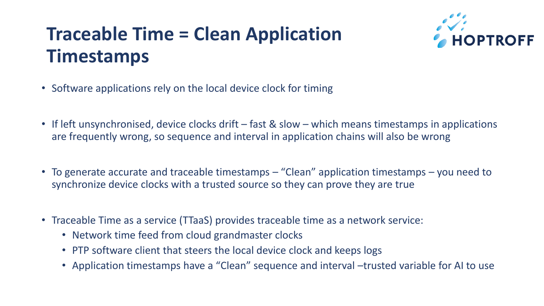### **Traceable Time = Clean Application Timestamps**



- Software applications rely on the local device clock for timing
- If left unsynchronised, device clocks drift fast & slow which means timestamps in applications are frequently wrong, so sequence and interval in application chains will also be wrong
- To generate accurate and traceable timestamps "Clean" application timestamps you need to synchronize device clocks with a trusted source so they can prove they are true
- Traceable Time as a service (TTaaS) provides traceable time as a network service:
	- Network time feed from cloud grandmaster clocks
	- PTP software client that steers the local device clock and keeps logs
	- Application timestamps have a "Clean" sequence and interval –trusted variable for AI to use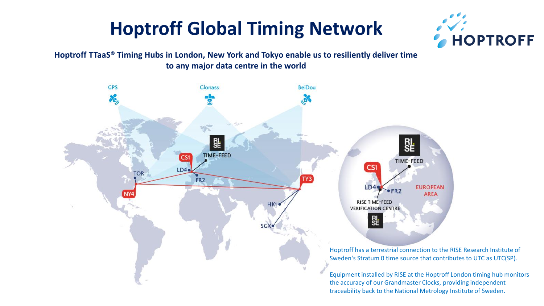### **Hoptroff Global Timing Network**



**Hoptroff TTaaS® Timing Hubs in London, New York and Tokyo enable us to resiliently deliver time to any major data centre in the world**

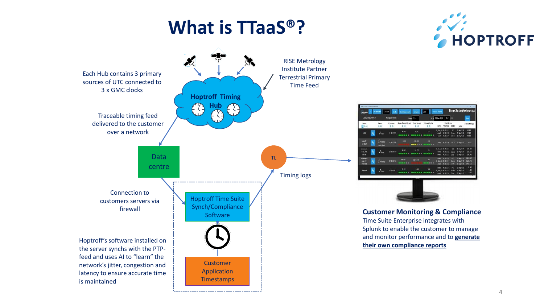#### **What is TTaaS®?**





------------------------

## **Time Suite F Milli 26 Sec 2019**  $0.0$

**Customer Monitoring & Compliance** Time Suite Enterprise integrates with Splunk to enable the customer to manage and monitor performance and to **generate**